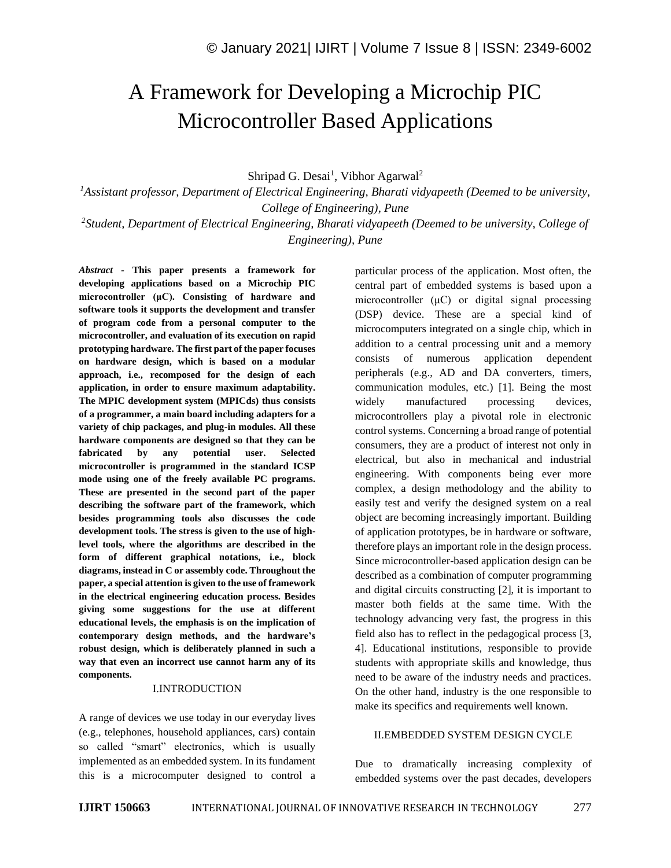# A Framework for Developing a Microchip PIC Microcontroller Based Applications

Shripad G. Desai<sup>1</sup>, Vibhor Agarwal<sup>2</sup>

*<sup>1</sup>Assistant professor, Department of Electrical Engineering, Bharati vidyapeeth (Deemed to be university, College of Engineering), Pune* 

*2 Student, Department of Electrical Engineering, Bharati vidyapeeth (Deemed to be university, College of Engineering), Pune* 

*Abstract -* **This paper presents a framework for developing applications based on a Microchip PIC microcontroller (μC). Consisting of hardware and software tools it supports the development and transfer of program code from a personal computer to the microcontroller, and evaluation of its execution on rapid prototyping hardware. The first part of the paper focuses on hardware design, which is based on a modular approach, i.e., recomposed for the design of each application, in order to ensure maximum adaptability. The MPIC development system (MPICds) thus consists of a programmer, a main board including adapters for a variety of chip packages, and plug-in modules. All these hardware components are designed so that they can be fabricated by any potential user. Selected microcontroller is programmed in the standard ICSP mode using one of the freely available PC programs. These are presented in the second part of the paper describing the software part of the framework, which besides programming tools also discusses the code development tools. The stress is given to the use of highlevel tools, where the algorithms are described in the form of different graphical notations, i.e., block diagrams, instead in C or assembly code. Throughout the paper, a special attention is given to the use of framework in the electrical engineering education process. Besides giving some suggestions for the use at different educational levels, the emphasis is on the implication of contemporary design methods, and the hardware's robust design, which is deliberately planned in such a way that even an incorrect use cannot harm any of its components.**

#### I.INTRODUCTION

A range of devices we use today in our everyday lives (e.g., telephones, household appliances, cars) contain so called "smart" electronics, which is usually implemented as an embedded system. In its fundament this is a microcomputer designed to control a particular process of the application. Most often, the central part of embedded systems is based upon a microcontroller (μC) or digital signal processing (DSP) device. These are a special kind of microcomputers integrated on a single chip, which in addition to a central processing unit and a memory consists of numerous application dependent peripherals (e.g., AD and DA converters, timers, communication modules, etc.) [1]. Being the most widely manufactured processing devices, microcontrollers play a pivotal role in electronic control systems. Concerning a broad range of potential consumers, they are a product of interest not only in electrical, but also in mechanical and industrial engineering. With components being ever more complex, a design methodology and the ability to easily test and verify the designed system on a real object are becoming increasingly important. Building of application prototypes, be in hardware or software, therefore plays an important role in the design process. Since microcontroller-based application design can be described as a combination of computer programming and digital circuits constructing [2], it is important to master both fields at the same time. With the technology advancing very fast, the progress in this field also has to reflect in the pedagogical process [3, 4]. Educational institutions, responsible to provide students with appropriate skills and knowledge, thus need to be aware of the industry needs and practices. On the other hand, industry is the one responsible to make its specifics and requirements well known.

## II.EMBEDDED SYSTEM DESIGN CYCLE

Due to dramatically increasing complexity of embedded systems over the past decades, developers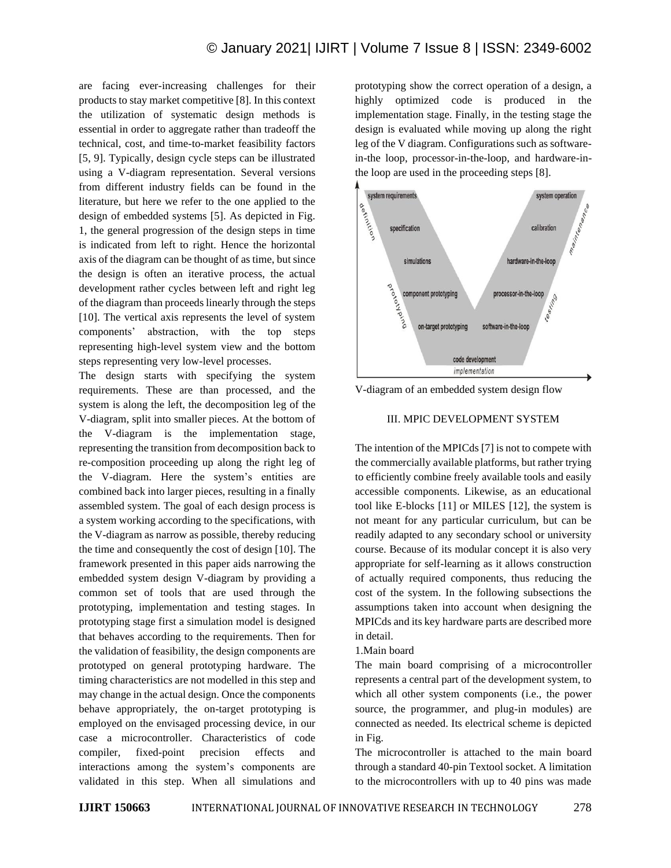are facing ever-increasing challenges for their products to stay market competitive [8]. In this context the utilization of systematic design methods is essential in order to aggregate rather than tradeoff the technical, cost, and time-to-market feasibility factors [5, 9]. Typically, design cycle steps can be illustrated using a V-diagram representation. Several versions from different industry fields can be found in the literature, but here we refer to the one applied to the design of embedded systems [5]. As depicted in Fig. 1, the general progression of the design steps in time is indicated from left to right. Hence the horizontal axis of the diagram can be thought of as time, but since the design is often an iterative process, the actual development rather cycles between left and right leg of the diagram than proceeds linearly through the steps [10]. The vertical axis represents the level of system components' abstraction, with the top steps representing high-level system view and the bottom steps representing very low-level processes.

The design starts with specifying the system requirements. These are than processed, and the system is along the left, the decomposition leg of the V-diagram, split into smaller pieces. At the bottom of the V-diagram is the implementation stage, representing the transition from decomposition back to re-composition proceeding up along the right leg of the V-diagram. Here the system's entities are combined back into larger pieces, resulting in a finally assembled system. The goal of each design process is a system working according to the specifications, with the V-diagram as narrow as possible, thereby reducing the time and consequently the cost of design [10]. The framework presented in this paper aids narrowing the embedded system design V-diagram by providing a common set of tools that are used through the prototyping, implementation and testing stages. In prototyping stage first a simulation model is designed that behaves according to the requirements. Then for the validation of feasibility, the design components are prototyped on general prototyping hardware. The timing characteristics are not modelled in this step and may change in the actual design. Once the components behave appropriately, the on-target prototyping is employed on the envisaged processing device, in our case a microcontroller. Characteristics of code compiler, fixed-point precision effects and interactions among the system's components are validated in this step. When all simulations and prototyping show the correct operation of a design, a highly optimized code is produced in the implementation stage. Finally, in the testing stage the design is evaluated while moving up along the right leg of the V diagram. Configurations such as softwarein-the loop, processor-in-the-loop, and hardware-inthe loop are used in the proceeding steps [8].



V-diagram of an embedded system design flow

#### III. MPIC DEVELOPMENT SYSTEM

The intention of the MPICds [7] is not to compete with the commercially available platforms, but rather trying to efficiently combine freely available tools and easily accessible components. Likewise, as an educational tool like E-blocks [11] or MILES [12], the system is not meant for any particular curriculum, but can be readily adapted to any secondary school or university course. Because of its modular concept it is also very appropriate for self-learning as it allows construction of actually required components, thus reducing the cost of the system. In the following subsections the assumptions taken into account when designing the MPICds and its key hardware parts are described more in detail.

1.Main board

The main board comprising of a microcontroller represents a central part of the development system, to which all other system components (i.e., the power source, the programmer, and plug-in modules) are connected as needed. Its electrical scheme is depicted in Fig.

The microcontroller is attached to the main board through a standard 40-pin Textool socket. A limitation to the microcontrollers with up to 40 pins was made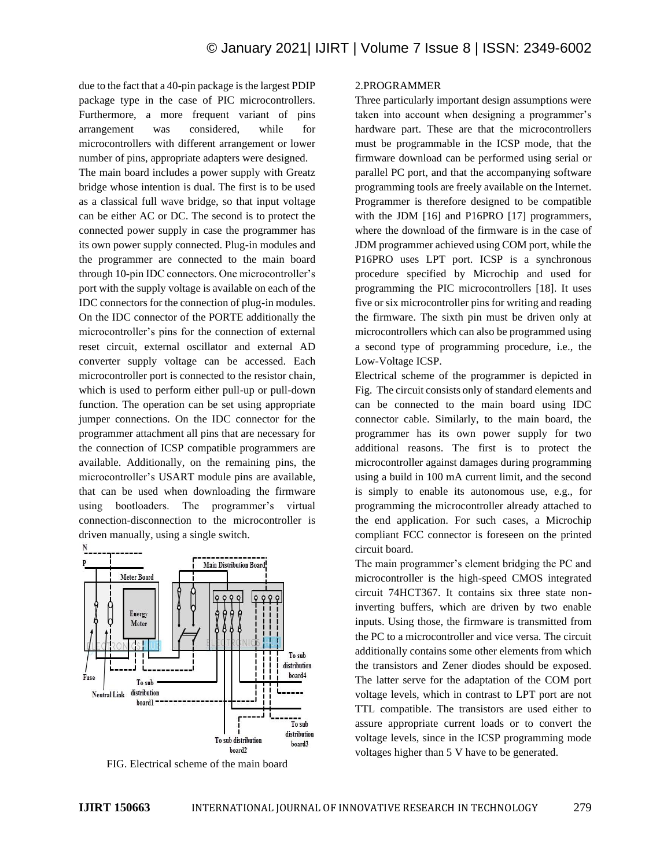due to the fact that a 40-pin package is the largest PDIP package type in the case of PIC microcontrollers. Furthermore, a more frequent variant of pins arrangement was considered, while for microcontrollers with different arrangement or lower number of pins, appropriate adapters were designed.

The main board includes a power supply with Greatz bridge whose intention is dual. The first is to be used as a classical full wave bridge, so that input voltage can be either AC or DC. The second is to protect the connected power supply in case the programmer has its own power supply connected. Plug-in modules and the programmer are connected to the main board through 10-pin IDC connectors. One microcontroller's port with the supply voltage is available on each of the IDC connectors for the connection of plug-in modules. On the IDC connector of the PORTE additionally the microcontroller's pins for the connection of external reset circuit, external oscillator and external AD converter supply voltage can be accessed. Each microcontroller port is connected to the resistor chain, which is used to perform either pull-up or pull-down function. The operation can be set using appropriate jumper connections. On the IDC connector for the programmer attachment all pins that are necessary for the connection of ICSP compatible programmers are available. Additionally, on the remaining pins, the microcontroller's USART module pins are available, that can be used when downloading the firmware using bootloaders. The programmer's virtual connection-disconnection to the microcontroller is driven manually, using a single switch.



FIG. Electrical scheme of the main board

### 2.PROGRAMMER

Three particularly important design assumptions were taken into account when designing a programmer's hardware part. These are that the microcontrollers must be programmable in the ICSP mode, that the firmware download can be performed using serial or parallel PC port, and that the accompanying software programming tools are freely available on the Internet. Programmer is therefore designed to be compatible with the JDM [16] and P16PRO [17] programmers, where the download of the firmware is in the case of JDM programmer achieved using COM port, while the P16PRO uses LPT port. ICSP is a synchronous procedure specified by Microchip and used for programming the PIC microcontrollers [18]. It uses five or six microcontroller pins for writing and reading the firmware. The sixth pin must be driven only at microcontrollers which can also be programmed using a second type of programming procedure, i.e., the Low-Voltage ICSP.

Electrical scheme of the programmer is depicted in Fig. The circuit consists only of standard elements and can be connected to the main board using IDC connector cable. Similarly, to the main board, the programmer has its own power supply for two additional reasons. The first is to protect the microcontroller against damages during programming using a build in 100 mA current limit, and the second is simply to enable its autonomous use, e.g., for programming the microcontroller already attached to the end application. For such cases, a Microchip compliant FCC connector is foreseen on the printed circuit board.

The main programmer's element bridging the PC and microcontroller is the high-speed CMOS integrated circuit 74HCT367. It contains six three state noninverting buffers, which are driven by two enable inputs. Using those, the firmware is transmitted from the PC to a microcontroller and vice versa. The circuit additionally contains some other elements from which the transistors and Zener diodes should be exposed. The latter serve for the adaptation of the COM port voltage levels, which in contrast to LPT port are not TTL compatible. The transistors are used either to assure appropriate current loads or to convert the voltage levels, since in the ICSP programming mode voltages higher than 5 V have to be generated.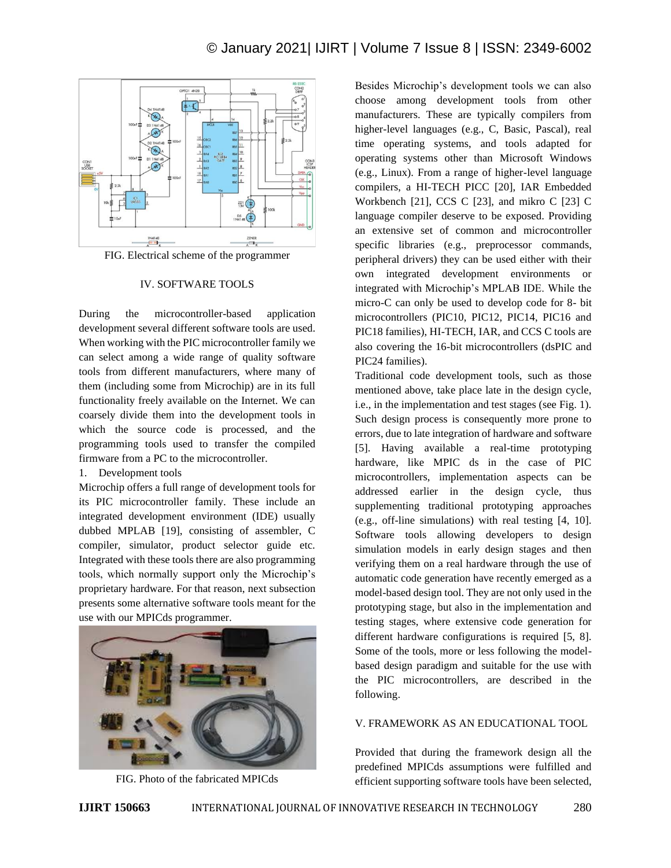

FIG. Electrical scheme of the programmer

### IV. SOFTWARE TOOLS

During the microcontroller-based application development several different software tools are used. When working with the PIC microcontroller family we can select among a wide range of quality software tools from different manufacturers, where many of them (including some from Microchip) are in its full functionality freely available on the Internet. We can coarsely divide them into the development tools in which the source code is processed, and the programming tools used to transfer the compiled firmware from a PC to the microcontroller.

#### 1. Development tools

Microchip offers a full range of development tools for its PIC microcontroller family. These include an integrated development environment (IDE) usually dubbed MPLAB [19], consisting of assembler, C compiler, simulator, product selector guide etc. Integrated with these tools there are also programming tools, which normally support only the Microchip's proprietary hardware. For that reason, next subsection presents some alternative software tools meant for the use with our MPICds programmer.



FIG. Photo of the fabricated MPICds

Besides Microchip's development tools we can also choose among development tools from other manufacturers. These are typically compilers from higher-level languages (e.g., C, Basic, Pascal), real time operating systems, and tools adapted for operating systems other than Microsoft Windows (e.g., Linux). From a range of higher-level language compilers, a HI-TECH PICC [20], IAR Embedded Workbench [21], CCS C [23], and mikro C [23] C language compiler deserve to be exposed. Providing an extensive set of common and microcontroller specific libraries (e.g., preprocessor commands, peripheral drivers) they can be used either with their own integrated development environments or integrated with Microchip's MPLAB IDE. While the micro-C can only be used to develop code for 8- bit microcontrollers (PIC10, PIC12, PIC14, PIC16 and PIC18 families), HI-TECH, IAR, and CCS C tools are also covering the 16-bit microcontrollers (dsPIC and PIC24 families).

Traditional code development tools, such as those mentioned above, take place late in the design cycle, i.e., in the implementation and test stages (see Fig. 1). Such design process is consequently more prone to errors, due to late integration of hardware and software [5]. Having available a real-time prototyping hardware, like MPIC ds in the case of PIC microcontrollers, implementation aspects can be addressed earlier in the design cycle, thus supplementing traditional prototyping approaches (e.g., off-line simulations) with real testing [4, 10]. Software tools allowing developers to design simulation models in early design stages and then verifying them on a real hardware through the use of automatic code generation have recently emerged as a model-based design tool. They are not only used in the prototyping stage, but also in the implementation and testing stages, where extensive code generation for different hardware configurations is required [5, 8]. Some of the tools, more or less following the modelbased design paradigm and suitable for the use with the PIC microcontrollers, are described in the following.

# V. FRAMEWORK AS AN EDUCATIONAL TOOL

Provided that during the framework design all the predefined MPICds assumptions were fulfilled and efficient supporting software tools have been selected,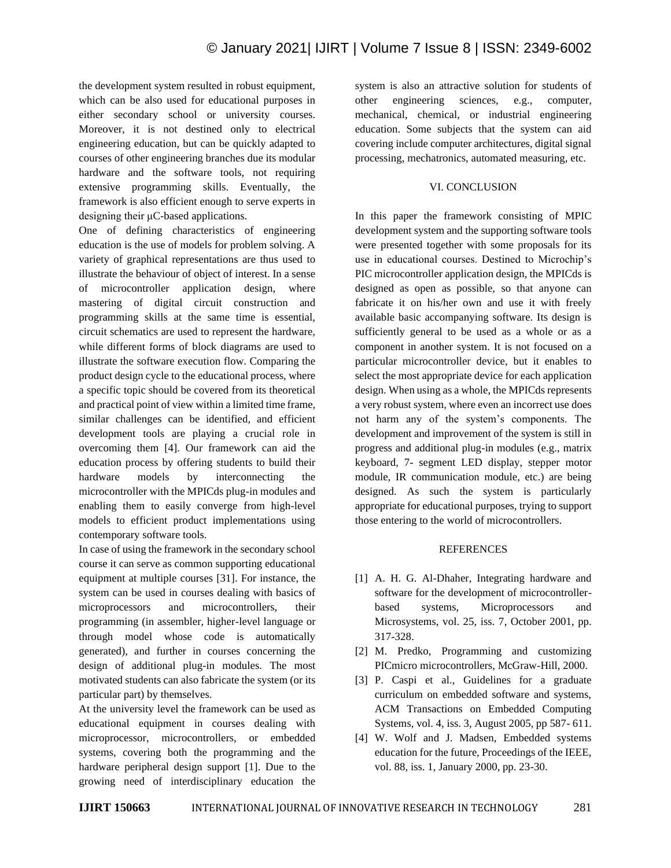the development system resulted in robust equipment, which can be also used for educational purposes in either secondary school or university courses. Moreover, it is not destined only to electrical engineering education, but can be quickly adapted to courses of other engineering branches due its modular hardware and the software tools, not requiring extensive programming skills. Eventually, the framework is also efficient enough to serve experts in designing their μC-based applications.

One of defining characteristics of engineering education is the use of models for problem solving. A variety of graphical representations are thus used to illustrate the behaviour of object of interest. In a sense of microcontroller application design, where mastering of digital circuit construction and programming skills at the same time is essential, circuit schematics are used to represent the hardware, while different forms of block diagrams are used to illustrate the software execution flow. Comparing the product design cycle to the educational process, where a specific topic should be covered from its theoretical and practical point of view within a limited time frame, similar challenges can be identified, and efficient development tools are playing a crucial role in overcoming them [4]. Our framework can aid the education process by offering students to build their hardware models by interconnecting the microcontroller with the MPICds plug-in modules and enabling them to easily converge from high-level models to efficient product implementations using contemporary software tools.

In case of using the framework in the secondary school course it can serve as common supporting educational equipment at multiple courses [31]. For instance, the system can be used in courses dealing with basics of microprocessors and microcontrollers, their programming (in assembler, higher-level language or through model whose code is automatically generated), and further in courses concerning the design of additional plug-in modules. The most motivated students can also fabricate the system (or its particular part) by themselves.

At the university level the framework can be used as educational equipment in courses dealing with microprocessor, microcontrollers, or embedded systems, covering both the programming and the hardware peripheral design support [1]. Due to the growing need of interdisciplinary education the system is also an attractive solution for students of other engineering sciences, e.g., computer, mechanical, chemical, or industrial engineering education. Some subjects that the system can aid covering include computer architectures, digital signal processing, mechatronics, automated measuring, etc.

### VI. CONCLUSION

In this paper the framework consisting of MPIC development system and the supporting software tools were presented together with some proposals for its use in educational courses. Destined to Microchip's PIC microcontroller application design, the MPICds is designed as open as possible, so that anyone can fabricate it on his/her own and use it with freely available basic accompanying software. Its design is sufficiently general to be used as a whole or as a component in another system. It is not focused on a particular microcontroller device, but it enables to select the most appropriate device for each application design. When using as a whole, the MPICds represents a very robust system, where even an incorrect use does not harm any of the system's components. The development and improvement of the system is still in progress and additional plug-in modules (e.g., matrix keyboard, 7- segment LED display, stepper motor module, IR communication module, etc.) are being designed. As such the system is particularly appropriate for educational purposes, trying to support those entering to the world of microcontrollers.

#### REFERENCES

- [1] A. H. G. Al-Dhaher, Integrating hardware and software for the development of microcontrollerbased systems, Microprocessors and Microsystems, vol. 25, iss. 7, October 2001, pp. 317-328.
- [2] M. Predko, Programming and customizing PICmicro microcontrollers, McGraw-Hill, 2000.
- [3] P. Caspi et al., Guidelines for a graduate curriculum on embedded software and systems, ACM Transactions on Embedded Computing Systems, vol. 4, iss. 3, August 2005, pp 587- 611.
- [4] W. Wolf and J. Madsen, Embedded systems education for the future, Proceedings of the IEEE, vol. 88, iss. 1, January 2000, pp. 23-30.